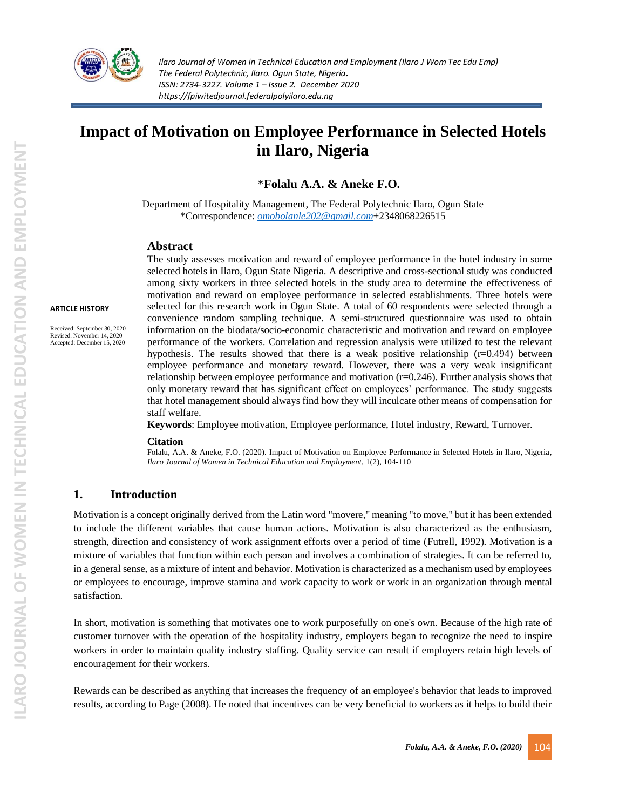

**ARTICLE HISTORY**

Received: September 30, 2020 Revised: November 14, 2020 Accepted: December 15, 2020

*Ilaro Journal of Women in Technical Education and Employment (Ilaro J Wom Tec Edu Emp) The Federal Polytechnic, Ilaro. Ogun State, Nigeria. ISSN: 2734-3227. Volume 1 – Issue 2. December 2020 https://fpiwitedjournal.federalpolyilaro.edu.ng*

# **Impact of Motivation on Employee Performance in Selected Hotels in Ilaro, Nigeria**

\***Folalu A.A. & Aneke F.O.**

Department of Hospitality Management, The Federal Polytechnic Ilaro, Ogun State \*Correspondence: *[omobolanle202@gmail.com](mailto:omobolanle202@gmail.com)*+2348068226515

#### **Abstract**

The study assesses motivation and reward of employee performance in the hotel industry in some selected hotels in Ilaro, Ogun State Nigeria. A descriptive and cross-sectional study was conducted among sixty workers in three selected hotels in the study area to determine the effectiveness of motivation and reward on employee performance in selected establishments. Three hotels were selected for this research work in Ogun State. A total of 60 respondents were selected through a convenience random sampling technique. A semi-structured questionnaire was used to obtain information on the biodata/socio-economic characteristic and motivation and reward on employee performance of the workers. Correlation and regression analysis were utilized to test the relevant hypothesis. The results showed that there is a weak positive relationship  $(r=0.494)$  between employee performance and monetary reward. However, there was a very weak insignificant relationship between employee performance and motivation (r=0.246). Further analysis shows that only monetary reward that has significant effect on employees' performance. The study suggests that hotel management should always find how they will inculcate other means of compensation for staff welfare.

**Keywords**: Employee motivation, Employee performance, Hotel industry, Reward, Turnover.

#### **Citation**

Folalu, A.A. & Aneke, F.O. (2020). Impact of Motivation on Employee Performance in Selected Hotels in Ilaro, Nigeria, *Ilaro Journal of Women in Technical Education and Employment,* 1(2), 104-110

#### **1. Introduction**

Motivation is a concept originally derived from the Latin word "movere," meaning "to move," but it has been extended to include the different variables that cause human actions. Motivation is also characterized as the enthusiasm, strength, direction and consistency of work assignment efforts over a period of time (Futrell, 1992). Motivation is a mixture of variables that function within each person and involves a combination of strategies. It can be referred to, in a general sense, as a mixture of intent and behavior. Motivation is characterized as a mechanism used by employees or employees to encourage, improve stamina and work capacity to work or work in an organization through mental satisfaction.

In short, motivation is something that motivates one to work purposefully on one's own. Because of the high rate of customer turnover with the operation of the hospitality industry, employers began to recognize the need to inspire workers in order to maintain quality industry staffing. Quality service can result if employers retain high levels of encouragement for their workers.

Rewards can be described as anything that increases the frequency of an employee's behavior that leads to improved results, according to Page (2008). He noted that incentives can be very beneficial to workers as it helps to build their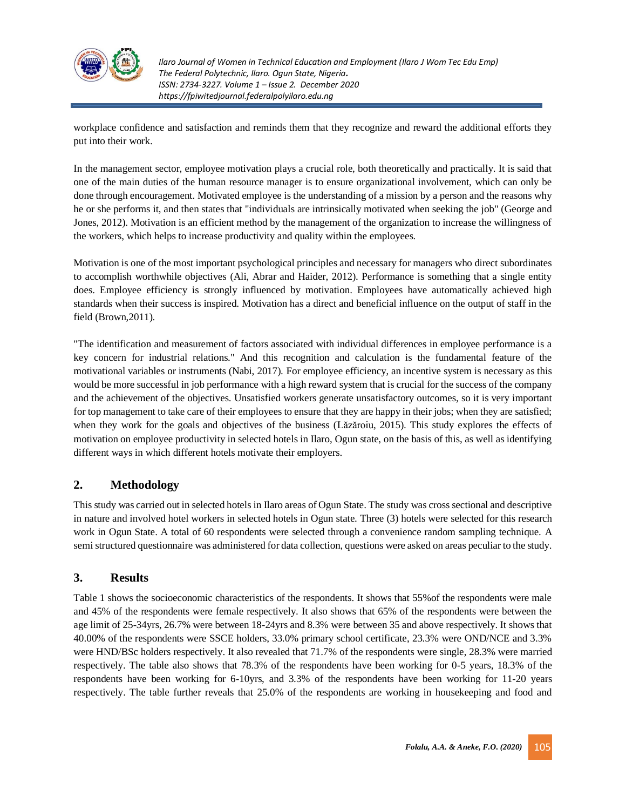

workplace confidence and satisfaction and reminds them that they recognize and reward the additional efforts they put into their work.

In the management sector, employee motivation plays a crucial role, both theoretically and practically. It is said that one of the main duties of the human resource manager is to ensure organizational involvement, which can only be done through encouragement. Motivated employee is the understanding of a mission by a person and the reasons why he or she performs it, and then states that "individuals are intrinsically motivated when seeking the job" (George and Jones, 2012). Motivation is an efficient method by the management of the organization to increase the willingness of the workers, which helps to increase productivity and quality within the employees.

Motivation is one of the most important psychological principles and necessary for managers who direct subordinates to accomplish worthwhile objectives (Ali, Abrar and Haider, 2012). Performance is something that a single entity does. Employee efficiency is strongly influenced by motivation. Employees have automatically achieved high standards when their success is inspired. Motivation has a direct and beneficial influence on the output of staff in the field (Brown,2011).

"The identification and measurement of factors associated with individual differences in employee performance is a key concern for industrial relations." And this recognition and calculation is the fundamental feature of the motivational variables or instruments (Nabi, 2017). For employee efficiency, an incentive system is necessary as this would be more successful in job performance with a high reward system that is crucial for the success of the company and the achievement of the objectives. Unsatisfied workers generate unsatisfactory outcomes, so it is very important for top management to take care of their employees to ensure that they are happy in their jobs; when they are satisfied; when they work for the goals and objectives of the business (Lăzăroiu, 2015). This study explores the effects of motivation on employee productivity in selected hotels in Ilaro, Ogun state, on the basis of this, as well as identifying different ways in which different hotels motivate their employers.

# **2. Methodology**

This study was carried out in selected hotels in Ilaro areas of Ogun State. The study was cross sectional and descriptive in nature and involved hotel workers in selected hotels in Ogun state. Three (3) hotels were selected for this research work in Ogun State. A total of 60 respondents were selected through a convenience random sampling technique. A semi structured questionnaire was administered for data collection, questions were asked on areas peculiar to the study.

## **3. Results**

Table 1 shows the socioeconomic characteristics of the respondents. It shows that 55%of the respondents were male and 45% of the respondents were female respectively. It also shows that 65% of the respondents were between the age limit of 25-34yrs, 26.7% were between 18-24yrs and 8.3% were between 35 and above respectively. It shows that 40.00% of the respondents were SSCE holders, 33.0% primary school certificate, 23.3% were OND/NCE and 3.3% were HND/BSc holders respectively. It also revealed that 71.7% of the respondents were single, 28.3% were married respectively. The table also shows that 78.3% of the respondents have been working for 0-5 years, 18.3% of the respondents have been working for 6-10yrs, and 3.3% of the respondents have been working for 11-20 years respectively. The table further reveals that 25.0% of the respondents are working in housekeeping and food and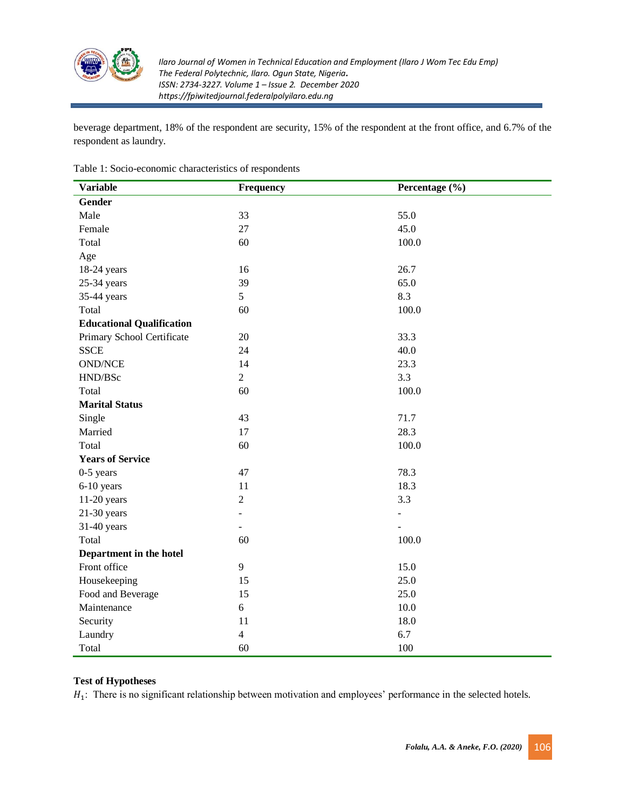

beverage department, 18% of the respondent are security, 15% of the respondent at the front office, and 6.7% of the respondent as laundry.

| <b>Variable</b>                  | <b>Frequency</b> | Percentage (%) |
|----------------------------------|------------------|----------------|
| Gender                           |                  |                |
| Male                             | 33               | 55.0           |
| Female                           | 27               | 45.0           |
| Total                            | 60               | 100.0          |
| Age                              |                  |                |
| 18-24 years                      | 16               | 26.7           |
| $25-34$ years                    | 39               | 65.0           |
| 35-44 years                      | 5                | 8.3            |
| Total                            | 60               | $100.0\,$      |
| <b>Educational Qualification</b> |                  |                |
| Primary School Certificate       | 20               | 33.3           |
| <b>SSCE</b>                      | 24               | 40.0           |
| <b>OND/NCE</b>                   | 14               | 23.3           |
| HND/BSc                          | $\overline{2}$   | 3.3            |
| Total                            | 60               | 100.0          |
| <b>Marital Status</b>            |                  |                |
| Single                           | 43               | 71.7           |
| Married                          | 17               | 28.3           |
| Total                            | 60               | 100.0          |
| <b>Years of Service</b>          |                  |                |
| $0-5$ years                      | 47               | 78.3           |
| 6-10 years                       | 11               | 18.3           |
| 11-20 years                      | $\overline{2}$   | 3.3            |
| $21-30$ years                    | ٠                | $\frac{1}{2}$  |
| 31-40 years                      | ÷.               |                |
| Total                            | 60               | 100.0          |
| Department in the hotel          |                  |                |
| Front office                     | 9                | 15.0           |
| Housekeeping                     | 15               | 25.0           |
| Food and Beverage                | 15               | 25.0           |
| Maintenance                      | 6                | 10.0           |
| Security                         | 11               | 18.0           |
| Laundry                          | $\overline{4}$   | 6.7            |
| Total                            | 60               | 100            |

Table 1: Socio-economic characteristics of respondents

#### **Test of Hypotheses**

 $H_1$ : There is no significant relationship between motivation and employees' performance in the selected hotels.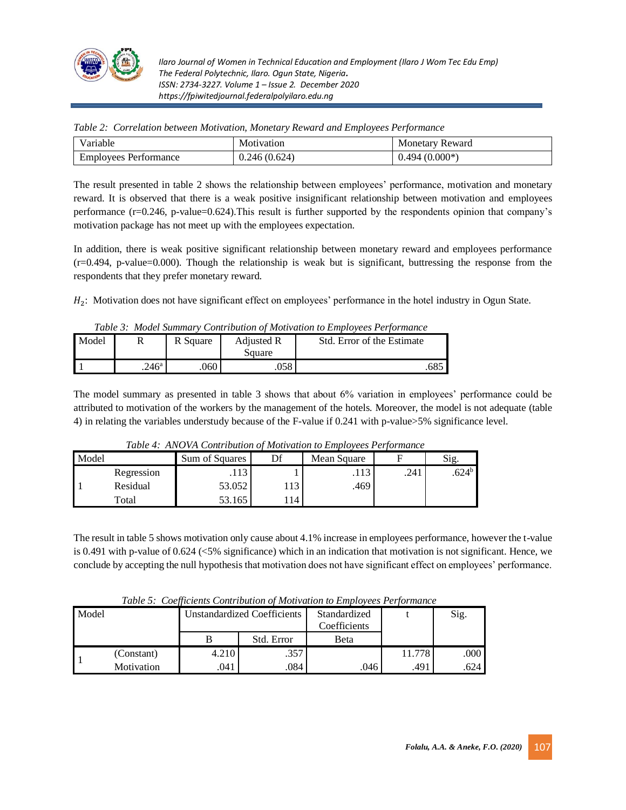

| T<br>∕arıable                | Motivation   | Monetary Reward |
|------------------------------|--------------|-----------------|
| <b>Employees Performance</b> | 0.246(0.624) | $0.494(0.000*)$ |

*Table 2: Correlation between Motivation, Monetary Reward and Employees Performance*

The result presented in table 2 shows the relationship between employees' performance, motivation and monetary reward. It is observed that there is a weak positive insignificant relationship between motivation and employees performance (r=0.246, p-value=0.624).This result is further supported by the respondents opinion that company's motivation package has not meet up with the employees expectation.

In addition, there is weak positive significant relationship between monetary reward and employees performance (r=0.494, p-value=0.000). Though the relationship is weak but is significant, buttressing the response from the respondents that they prefer monetary reward.

 $H_2$ : Motivation does not have significant effect on employees' performance in the hotel industry in Ogun State.

|  |  | Table 3: Model Summary Contribution of Motivation to Employees Performance |
|--|--|----------------------------------------------------------------------------|
|  |  |                                                                            |

| Model | 17                | R Square | Adjusted R<br>Square | Std. Error of the Estimate |
|-------|-------------------|----------|----------------------|----------------------------|
|       | .246 <sup>a</sup> | .060     | ∩<∘<br>.UJ c         | 68.                        |

The model summary as presented in table 3 shows that about 6% variation in employees' performance could be attributed to motivation of the workers by the management of the hotels. Moreover, the model is not adequate (table 4) in relating the variables understudy because of the F-value if 0.241 with p-value>5% significance level.

|       | Table 4. ANOVA Contribution of Motivation to Employees Ferjormance |                |    |             |      |                |  |  |
|-------|--------------------------------------------------------------------|----------------|----|-------------|------|----------------|--|--|
| Model |                                                                    | Sum of Squares |    | Mean Square |      | Sig.           |  |  |
|       | Regression                                                         | .113           |    | .113        | .241 | $.624^{\circ}$ |  |  |
|       | Residual                                                           | 53.052         | 13 | .469        |      |                |  |  |
|       | Total                                                              | 53.165         | 14 |             |      |                |  |  |

*Table 4: ANOVA Contribution of Motivation to Employees Performance*

The result in table 5 shows motivation only cause about 4.1% increase in employees performance, however the t-value is 0.491 with p-value of 0.624 (<5% significance) which in an indication that motivation is not significant. Hence, we conclude by accepting the null hypothesis that motivation does not have significant effect on employees' performance.

|       |            |                                    |            | Tubic 9. Cochicients Contribution of motivation to Employees I critinuitie |        |      |
|-------|------------|------------------------------------|------------|----------------------------------------------------------------------------|--------|------|
| Model |            | <b>Unstandardized Coefficients</b> |            | Standardized                                                               |        | Sig. |
|       |            |                                    |            | Coefficients                                                               |        |      |
|       |            |                                    | Std. Error | Beta                                                                       |        |      |
|       | (Constant) | 4.210                              | .357       |                                                                            | 11.778 | .000 |
|       | Motivation | .041                               | .084       | .046                                                                       | .491   | .624 |

*Table 5: Coefficients Contribution of Motivation to Employees Performance*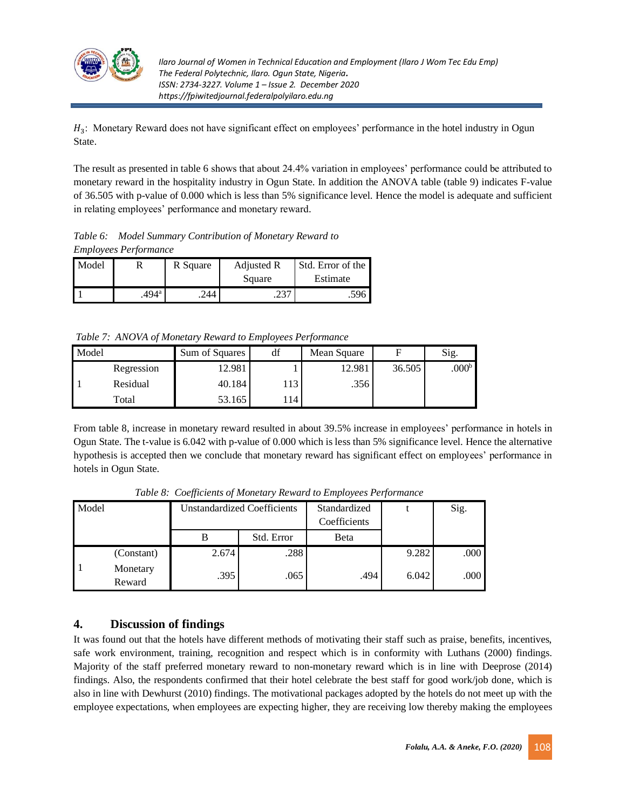

 $H_3$ : Monetary Reward does not have significant effect on employees' performance in the hotel industry in Ogun State.

The result as presented in table 6 shows that about 24.4% variation in employees' performance could be attributed to monetary reward in the hospitality industry in Ogun State. In addition the ANOVA table (table 9) indicates F-value of 36.505 with p-value of 0.000 which is less than 5% significance level. Hence the model is adequate and sufficient in relating employees' performance and monetary reward.

*Table 6: Model Summary Contribution of Monetary Reward to Employees Performance*

| Model |                     | R Square | Adjusted R | Std. Error of the |
|-------|---------------------|----------|------------|-------------------|
|       |                     |          | Square     | Estimate          |
|       | $.494$ <sup>a</sup> | 244      | ۰ د.ع.     | .596              |

*Table 7: ANOVA of Monetary Reward to Employees Performance*

| Model |            | Sum of Squares | df  | Mean Square | Е      | Sig.              |
|-------|------------|----------------|-----|-------------|--------|-------------------|
|       | Regression | 12.981         |     | 12.981      | 36.505 | .000 <sup>b</sup> |
|       | Residual   | 40.184         | 113 | .356        |        |                   |
|       | Total      | 53.165         | 114 |             |        |                   |

From table 8, increase in monetary reward resulted in about 39.5% increase in employees' performance in hotels in Ogun State. The t-value is 6.042 with p-value of 0.000 which is less than 5% significance level. Hence the alternative hypothesis is accepted then we conclude that monetary reward has significant effect on employees' performance in hotels in Ogun State.

| Model |                    | <b>Unstandardized Coefficients</b> |            | Standardized<br>Coefficients |       | Sig. |
|-------|--------------------|------------------------------------|------------|------------------------------|-------|------|
|       |                    |                                    | Std. Error | <b>B</b> eta                 |       |      |
|       | (Constant)         | 2.674                              | .288       |                              | 9.282 | .000 |
|       | Monetary<br>Reward | .395                               | .065       | .494                         | 6.042 | .000 |

*Table 8: Coefficients of Monetary Reward to Employees Performance*

# **4. Discussion of findings**

It was found out that the hotels have different methods of motivating their staff such as praise, benefits, incentives, safe work environment, training, recognition and respect which is in conformity with Luthans (2000) findings. Majority of the staff preferred monetary reward to non-monetary reward which is in line with Deeprose (2014) findings. Also, the respondents confirmed that their hotel celebrate the best staff for good work/job done, which is also in line with Dewhurst (2010) findings. The motivational packages adopted by the hotels do not meet up with the employee expectations, when employees are expecting higher, they are receiving low thereby making the employees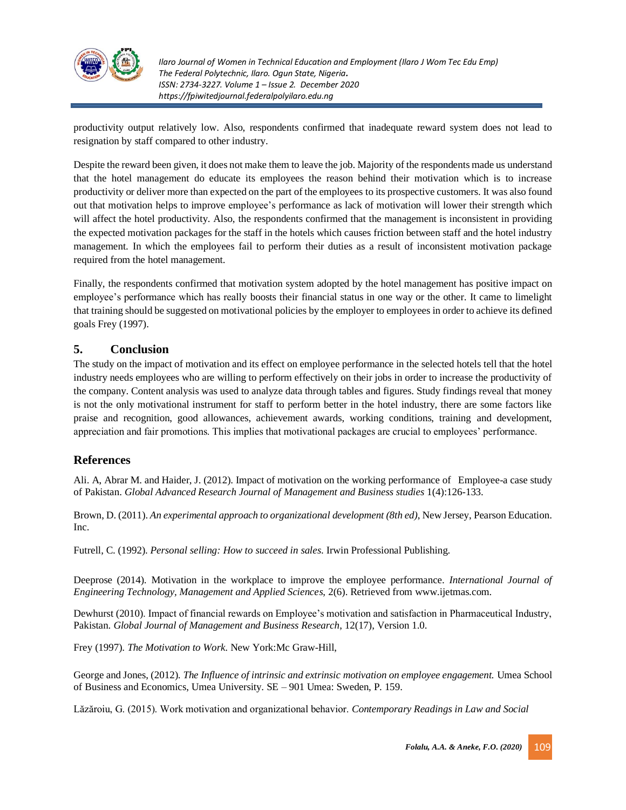

productivity output relatively low. Also, respondents confirmed that inadequate reward system does not lead to resignation by staff compared to other industry.

Despite the reward been given, it does not make them to leave the job. Majority of the respondents made us understand that the hotel management do educate its employees the reason behind their motivation which is to increase productivity or deliver more than expected on the part of the employees to its prospective customers. It was also found out that motivation helps to improve employee's performance as lack of motivation will lower their strength which will affect the hotel productivity. Also, the respondents confirmed that the management is inconsistent in providing the expected motivation packages for the staff in the hotels which causes friction between staff and the hotel industry management. In which the employees fail to perform their duties as a result of inconsistent motivation package required from the hotel management.

Finally, the respondents confirmed that motivation system adopted by the hotel management has positive impact on employee's performance which has really boosts their financial status in one way or the other. It came to limelight that training should be suggested on motivational policies by the employer to employees in order to achieve its defined goals Frey (1997).

## **5. Conclusion**

The study on the impact of motivation and its effect on employee performance in the selected hotels tell that the hotel industry needs employees who are willing to perform effectively on their jobs in order to increase the productivity of the company. Content analysis was used to analyze data through tables and figures. Study findings reveal that money is not the only motivational instrument for staff to perform better in the hotel industry, there are some factors like praise and recognition, good allowances, achievement awards, working conditions, training and development, appreciation and fair promotions. This implies that motivational packages are crucial to employees' performance.

## **References**

Ali. A, Abrar M. and Haider, J. (2012). Impact of motivation on the working performance of Employee-a case study of Pakistan. *Global Advanced Research Journal of Management and Business studies* 1(4):126-133.

Brown, D. (2011). *An experimental approach to organizational development (8th ed)*, New Jersey, Pearson Education. Inc.

Futrell, C. (1992). *Personal selling: How to succeed in sales*. Irwin Professional Publishing.

Deeprose (2014). Motivation in the workplace to improve the employee performance. *International Journal of Engineering Technology, Management and Applied Sciences*, 2(6). Retrieved from [www.ijetmas.com.](http://www.ijetmas.com/)

Dewhurst (2010). Impact of financial rewards on Employee's motivation and satisfaction in Pharmaceutical Industry, Pakistan*. Global Journal of Management and Business Research*, 12(17), Version 1.0.

Frey (1997). *The Motivation to Work*. New York:Mc Graw-Hill,

George and Jones, (2012). *The Influence of intrinsic and extrinsic motivation on employee engagement.* Umea School of Business and Economics, Umea University. SE – 901 Umea: Sweden, P. 159.

Lăzăroiu, G. (2015). Work motivation and organizational behavior. *Contemporary Readings in Law and Social*